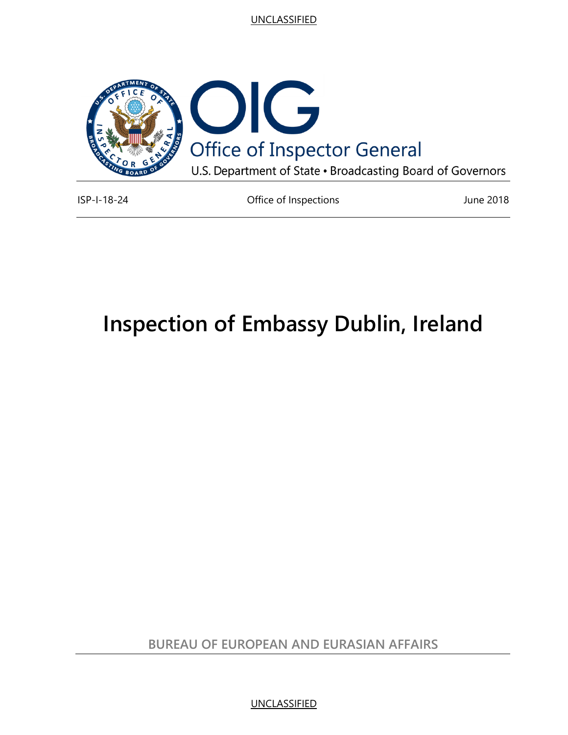

ISP-I-18-24 Office of Inspections June 2018

# **Inspection of Embassy Dublin, Ireland**

**BUREAU OF EUROPEAN AND EURASIAN AFFAIRS**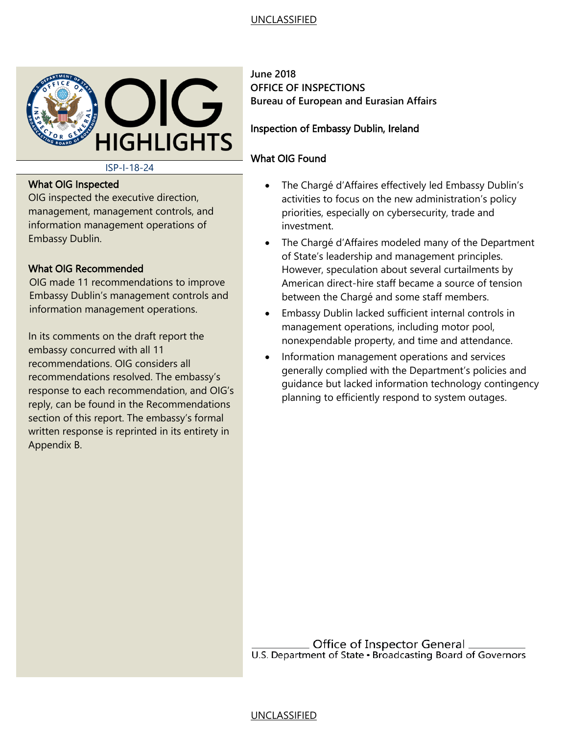

ISP-I-18-24

#### What OIG Inspected

OIG inspected the executive direction, management, management controls, and information management operations of Embassy Dublin.

#### What OIG Recommended

OIG made 11 recommendations to improve Embassy Dublin's management controls and information management operations.

In its comments on the draft report the embassy concurred with all 11 recommendations. OIG considers all recommendations resolved. The embassy's response to each recommendation, and OIG's reply, can be found in the Recommendations section of this report. The embassy's formal written response is reprinted in its entirety in Appendix B.

**June 2018 OFFICE OF INSPECTIONS Bureau of European and Eurasian Affairs**

#### Inspection of Embassy Dublin, Ireland

### What OIG Found

- The Chargé d'Affaires effectively led Embassy Dublin's activities to focus on the new administration's policy priorities, especially on cybersecurity, trade and investment.
- The Chargé d'Affaires modeled many of the Department of State's leadership and management principles. However, speculation about several curtailments by American direct-hire staff became a source of tension between the Chargé and some staff members.
- Embassy Dublin lacked sufficient internal controls in management operations, including motor pool, nonexpendable property, and time and attendance.
- Information management operations and services generally complied with the Department's policies and guidance but lacked information technology contingency planning to efficiently respond to system outages.

**CHALLE OF Inspector General**<br>U.S. Department of State · Broadcasting Board of Governors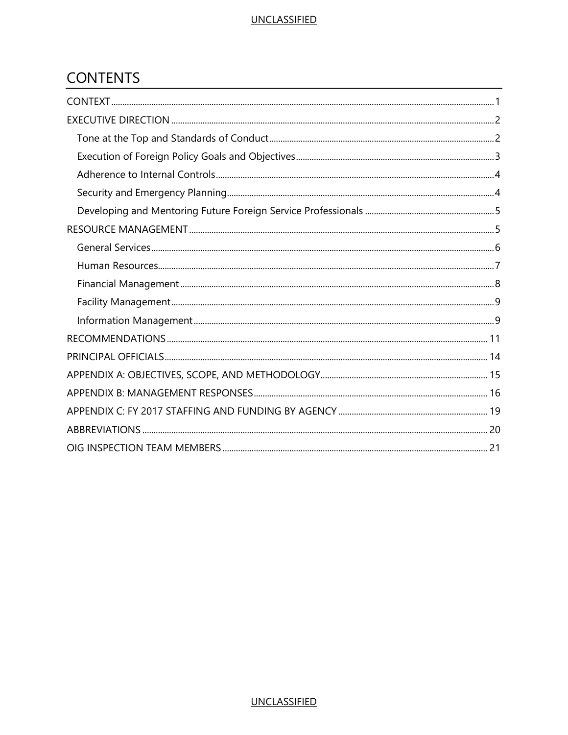# **CONTENTS**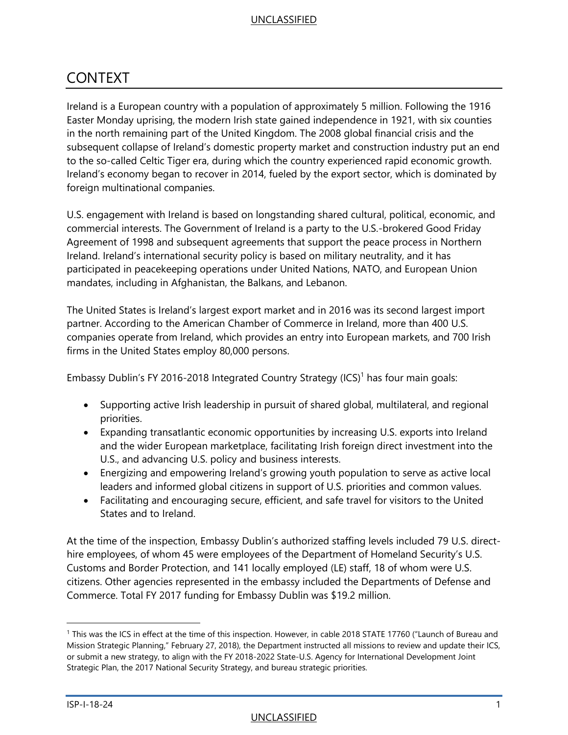# <span id="page-3-0"></span>CONTEXT

Ireland is a European country with a population of approximately 5 million. Following the 1916 Easter Monday uprising, the modern Irish state gained independence in 1921, with six counties in the north remaining part of the United Kingdom. The 2008 global financial crisis and the subsequent collapse of Ireland's domestic property market and construction industry put an end to the so-called Celtic Tiger era, during which the country experienced rapid economic growth. Ireland's economy began to recover in 2014, fueled by the export sector, which is dominated by foreign multinational companies.

U.S. engagement with Ireland is based on longstanding shared cultural, political, economic, and commercial interests. The Government of Ireland is a party to the U.S.-brokered Good Friday Agreement of 1998 and subsequent agreements that support the peace process in Northern Ireland. Ireland's international security policy is based on military neutrality, and it has participated in peacekeeping operations under United Nations, NATO, and European Union mandates, including in Afghanistan, the Balkans, and Lebanon.

The United States is Ireland's largest export market and in 2016 was its second largest import partner. According to the American Chamber of Commerce in Ireland, more than 400 U.S. companies operate from Ireland, which provides an entry into European markets, and 700 Irish firms in the United States employ 80,000 persons.

Embassy Dublin's FY 2016-2018 Integrated Country Strategy (ICS)<sup>1</sup> has four main goals:

- Supporting active Irish leadership in pursuit of shared global, multilateral, and regional priorities.
- Expanding transatlantic economic opportunities by increasing U.S. exports into Ireland and the wider European marketplace, facilitating Irish foreign direct investment into the U.S., and advancing U.S. policy and business interests.
- Energizing and empowering Ireland's growing youth population to serve as active local leaders and informed global citizens in support of U.S. priorities and common values.
- Facilitating and encouraging secure, efficient, and safe travel for visitors to the United States and to Ireland.

At the time of the inspection, Embassy Dublin's authorized staffing levels included 79 U.S. directhire employees, of whom 45 were employees of the Department of Homeland Security's U.S. Customs and Border Protection, and 141 locally employed (LE) staff, 18 of whom were U.S. citizens. Other agencies represented in the embassy included the Departments of Defense and Commerce. Total FY 2017 funding for Embassy Dublin was \$19.2 million.

<sup>1</sup> This was the ICS in effect at the time of this inspection. However, in cable 2018 STATE 17760 ("Launch of Bureau and Mission Strategic Planning," February 27, 2018), the Department instructed all missions to review and update their ICS, or submit a new strategy, to align with the FY 2018-2022 State-U.S. Agency for International Development Joint Strategic Plan, the 2017 National Security Strategy, and bureau strategic priorities.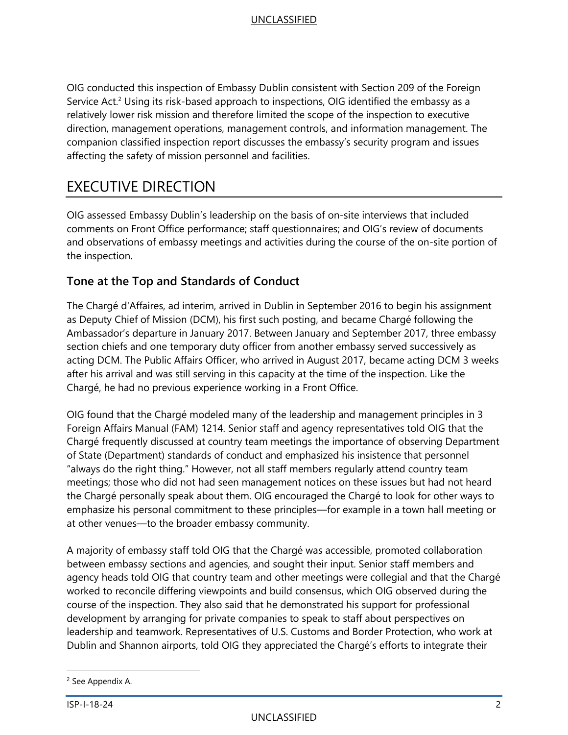OIG conducted this inspection of Embassy Dublin consistent with Section 209 of the Foreign Service Act.<sup>2</sup> Using its risk-based approach to inspections, OIG identified the embassy as a relatively lower risk mission and therefore limited the scope of the inspection to executive direction, management operations, management controls, and information management. The companion classified inspection report discusses the embassy's security program and issues affecting the safety of mission personnel and facilities.

# <span id="page-4-0"></span>EXECUTIVE DIRECTION

OIG assessed Embassy Dublin's leadership on the basis of on-site interviews that included comments on Front Office performance; staff questionnaires; and OIG's review of documents and observations of embassy meetings and activities during the course of the on-site portion of the inspection.

# <span id="page-4-1"></span>**Tone at the Top and Standards of Conduct**

The Chargé d'Affaires, ad interim, arrived in Dublin in September 2016 to begin his assignment as Deputy Chief of Mission (DCM), his first such posting, and became Chargé following the Ambassador's departure in January 2017. Between January and September 2017, three embassy section chiefs and one temporary duty officer from another embassy served successively as acting DCM. The Public Affairs Officer, who arrived in August 2017, became acting DCM 3 weeks after his arrival and was still serving in this capacity at the time of the inspection. Like the Chargé, he had no previous experience working in a Front Office.

OIG found that the Chargé modeled many of the leadership and management principles in 3 Foreign Affairs Manual (FAM) 1214. Senior staff and agency representatives told OIG that the Chargé frequently discussed at country team meetings the importance of observing Department of State (Department) standards of conduct and emphasized his insistence that personnel "always do the right thing." However, not all staff members regularly attend country team meetings; those who did not had seen management notices on these issues but had not heard the Chargé personally speak about them. OIG encouraged the Chargé to look for other ways to emphasize his personal commitment to these principles—for example in a town hall meeting or at other venues—to the broader embassy community.

A majority of embassy staff told OIG that the Chargé was accessible, promoted collaboration between embassy sections and agencies, and sought their input. Senior staff members and agency heads told OIG that country team and other meetings were collegial and that the Chargé worked to reconcile differing viewpoints and build consensus, which OIG observed during the course of the inspection. They also said that he demonstrated his support for professional development by arranging for private companies to speak to staff about perspectives on leadership and teamwork. Representatives of U.S. Customs and Border Protection, who work at Dublin and Shannon airports, told OIG they appreciated the Chargé's efforts to integrate their

l

<sup>2</sup> See Appendix A.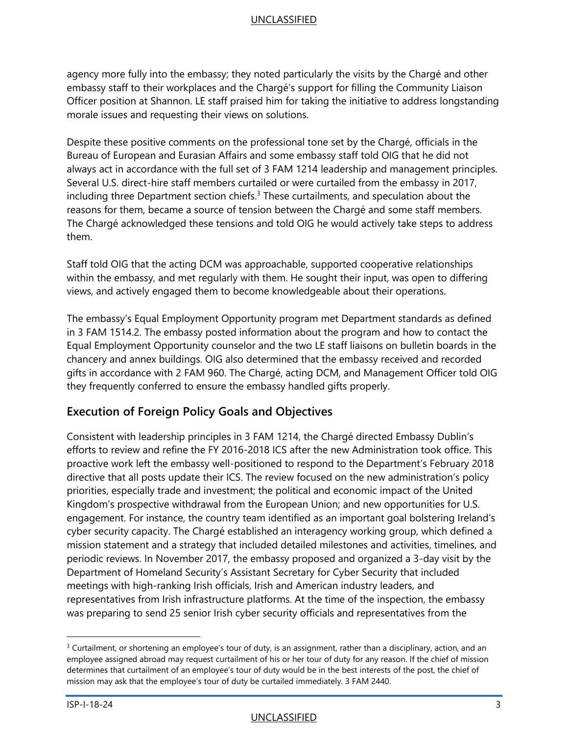agency more fully into the embassy; they noted particularly the visits by the Chargé and other embassy staff to their workplaces and the Chargé's support for filling the Community Liaison Officer position at Shannon. LE staff praised him for taking the initiative to address longstanding morale issues and requesting their views on solutions.

Despite these positive comments on the professional tone set by the Chargé, officials in the Bureau of European and Eurasian Affairs and some embassy staff told OIG that he did not always act in accordance with the full set of 3 FAM 1214 leadership and management principles. Several U.S. direct-hire staff members curtailed or were curtailed from the embassy in 2017, including three Department section chiefs.<sup>3</sup> These curtailments, and speculation about the reasons for them, became a source of tension between the Chargé and some staff members. The Chargé acknowledged these tensions and told OIG he would actively take steps to address them.

Staff told OIG that the acting DCM was approachable, supported cooperative relationships within the embassy, and met regularly with them. He sought their input, was open to differing views, and actively engaged them to become knowledgeable about their operations.

The embassy's Equal Employment Opportunity program met Department standards as defined in 3 FAM 1514.2. The embassy posted information about the program and how to contact the Equal Employment Opportunity counselor and the two LE staff liaisons on bulletin boards in the chancery and annex buildings. OIG also determined that the embassy received and recorded gifts in accordance with 2 FAM 960. The Chargé, acting DCM, and Management Officer told OIG they frequently conferred to ensure the embassy handled gifts properly.

# <span id="page-5-0"></span>**Execution of Foreign Policy Goals and Objectives**

Consistent with leadership principles in 3 FAM 1214, the Chargé directed Embassy Dublin's efforts to review and refine the FY 2016-2018 ICS after the new Administration took office. This proactive work left the embassy well-positioned to respond to the Department's February 2018 directive that all posts update their ICS. The review focused on the new administration's policy priorities, especially trade and investment; the political and economic impact of the United Kingdom's prospective withdrawal from the European Union; and new opportunities for U.S. engagement. For instance, the country team identified as an important goal bolstering Ireland's cyber security capacity. The Chargé established an interagency working group, which defined a mission statement and a strategy that included detailed milestones and activities, timelines, and periodic reviews. In November 2017, the embassy proposed and organized a 3-day visit by the Department of Homeland Security's Assistant Secretary for Cyber Security that included meetings with high-ranking Irish officials, Irish and American industry leaders, and representatives from Irish infrastructure platforms. At the time of the inspection, the embassy was preparing to send 25 senior Irish cyber security officials and representatives from the

<sup>&</sup>lt;sup>3</sup> Curtailment, or shortening an employee's tour of duty, is an assignment, rather than a disciplinary, action, and an employee assigned abroad may request curtailment of his or her tour of duty for any reason. If the chief of mission determines that curtailment of an employee's tour of duty would be in the best interests of the post, the chief of mission may ask that the employee's tour of duty be curtailed immediately. 3 FAM 2440.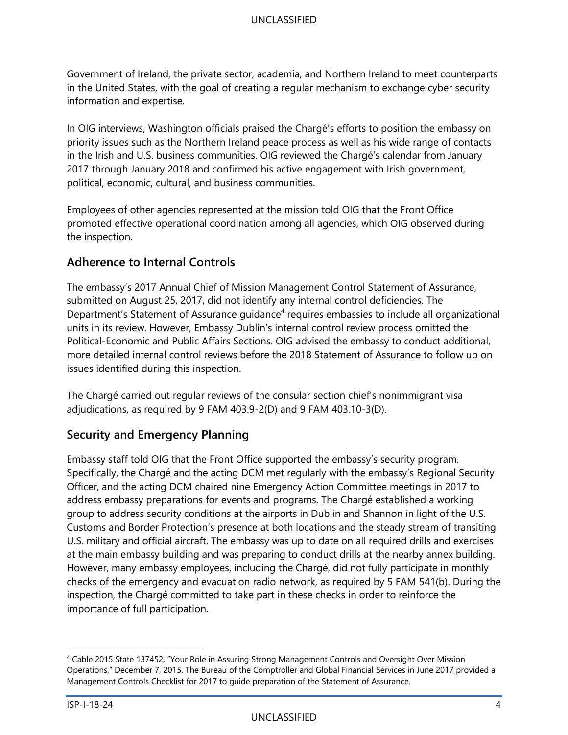Government of Ireland, the private sector, academia, and Northern Ireland to meet counterparts in the United States, with the goal of creating a regular mechanism to exchange cyber security information and expertise.

In OIG interviews, Washington officials praised the Chargé's efforts to position the embassy on priority issues such as the Northern Ireland peace process as well as his wide range of contacts in the Irish and U.S. business communities. OIG reviewed the Chargé's calendar from January 2017 through January 2018 and confirmed his active engagement with Irish government, political, economic, cultural, and business communities.

Employees of other agencies represented at the mission told OIG that the Front Office promoted effective operational coordination among all agencies, which OIG observed during the inspection.

# <span id="page-6-0"></span>**Adherence to Internal Controls**

The embassy's 2017 Annual Chief of Mission Management Control Statement of Assurance, submitted on August 25, 2017, did not identify any internal control deficiencies. The Department's Statement of Assurance guidance<sup>4</sup> requires embassies to include all organizational units in its review. However, Embassy Dublin's internal control review process omitted the Political-Economic and Public Affairs Sections. OIG advised the embassy to conduct additional, more detailed internal control reviews before the 2018 Statement of Assurance to follow up on issues identified during this inspection.

The Chargé carried out regular reviews of the consular section chief's nonimmigrant visa adjudications, as required by 9 FAM 403.9-2(D) and 9 FAM 403.10-3(D).

# <span id="page-6-1"></span>**Security and Emergency Planning**

Embassy staff told OIG that the Front Office supported the embassy's security program. Specifically, the Chargé and the acting DCM met regularly with the embassy's Regional Security Officer, and the acting DCM chaired nine Emergency Action Committee meetings in 2017 to address embassy preparations for events and programs. The Chargé established a working group to address security conditions at the airports in Dublin and Shannon in light of the U.S. Customs and Border Protection's presence at both locations and the steady stream of transiting U.S. military and official aircraft. The embassy was up to date on all required drills and exercises at the main embassy building and was preparing to conduct drills at the nearby annex building. However, many embassy employees, including the Chargé, did not fully participate in monthly checks of the emergency and evacuation radio network, as required by 5 FAM 541(b). During the inspection, the Chargé committed to take part in these checks in order to reinforce the importance of full participation.

<sup>4</sup> Cable 2015 State 137452, "Your Role in Assuring Strong Management Controls and Oversight Over Mission Operations," December 7, 2015. The Bureau of the Comptroller and Global Financial Services in June 2017 provided a Management Controls Checklist for 2017 to guide preparation of the Statement of Assurance.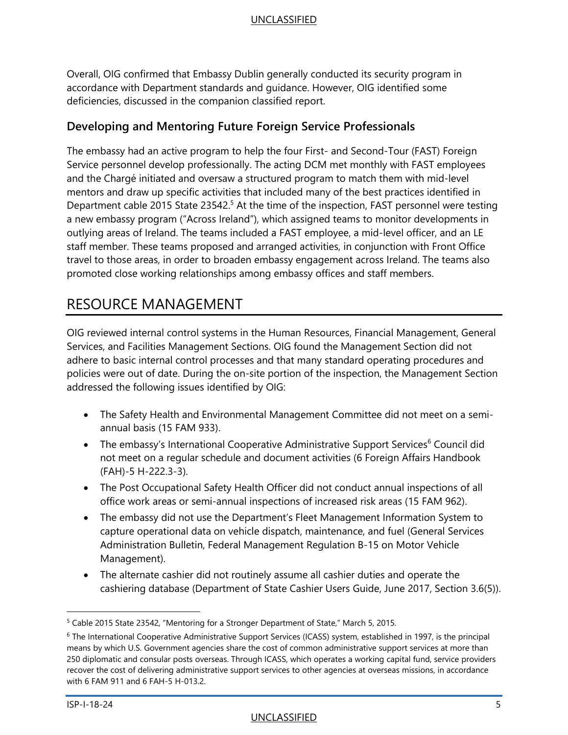Overall, OIG confirmed that Embassy Dublin generally conducted its security program in accordance with Department standards and guidance. However, OIG identified some deficiencies, discussed in the companion classified report.

# <span id="page-7-0"></span>**Developing and Mentoring Future Foreign Service Professionals**

The embassy had an active program to help the four First- and Second-Tour (FAST) Foreign Service personnel develop professionally. The acting DCM met monthly with FAST employees and the Chargé initiated and oversaw a structured program to match them with mid-level mentors and draw up specific activities that included many of the best practices identified in Department cable 2015 State 23542.<sup>5</sup> At the time of the inspection, FAST personnel were testing a new embassy program ("Across Ireland"), which assigned teams to monitor developments in outlying areas of Ireland. The teams included a FAST employee, a mid-level officer, and an LE staff member. These teams proposed and arranged activities, in conjunction with Front Office travel to those areas, in order to broaden embassy engagement across Ireland. The teams also promoted close working relationships among embassy offices and staff members.

# <span id="page-7-1"></span>RESOURCE MANAGEMENT

OIG reviewed internal control systems in the Human Resources, Financial Management, General Services, and Facilities Management Sections. OIG found the Management Section did not adhere to basic internal control processes and that many standard operating procedures and policies were out of date. During the on-site portion of the inspection, the Management Section addressed the following issues identified by OIG:

- The Safety Health and Environmental Management Committee did not meet on a semiannual basis (15 FAM 933).
- The embassy's International Cooperative Administrative Support Services<sup>6</sup> Council did not meet on a regular schedule and document activities (6 Foreign Affairs Handbook (FAH)-5 H-222.3-3).
- The Post Occupational Safety Health Officer did not conduct annual inspections of all office work areas or semi-annual inspections of increased risk areas (15 FAM 962).
- The embassy did not use the Department's Fleet Management Information System to capture operational data on vehicle dispatch, maintenance, and fuel (General Services Administration Bulletin, Federal Management Regulation B-15 on Motor Vehicle Management).
- The alternate cashier did not routinely assume all cashier duties and operate the cashiering database (Department of State Cashier Users Guide, June 2017, Section 3.6(5)).

<sup>5</sup> Cable 2015 State 23542, "Mentoring for a Stronger Department of State," March 5, 2015.

<sup>6</sup> The International Cooperative Administrative Support Services (ICASS) system, established in 1997, is the principal means by which U.S. Government agencies share the cost of common administrative support services at more than 250 diplomatic and consular posts overseas. Through ICASS, which operates a working capital fund, service providers recover the cost of delivering administrative support services to other agencies at overseas missions, in accordance with 6 FAM 911 and 6 FAH-5 H-013.2.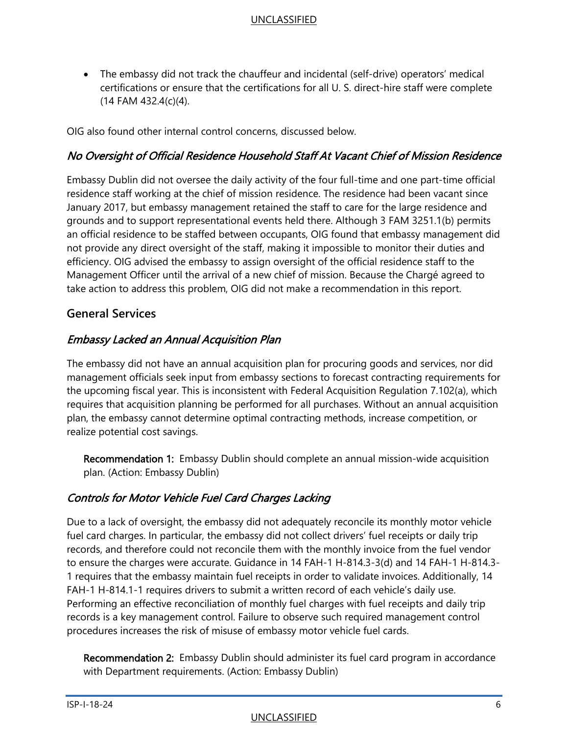The embassy did not track the chauffeur and incidental (self-drive) operators' medical certifications or ensure that the certifications for all U. S. direct-hire staff were complete (14 FAM 432.4(c)(4).

OIG also found other internal control concerns, discussed below.

# No Oversight of Official Residence Household Staff At Vacant Chief of Mission Residence

Embassy Dublin did not oversee the daily activity of the four full-time and one part-time official residence staff working at the chief of mission residence. The residence had been vacant since January 2017, but embassy management retained the staff to care for the large residence and grounds and to support representational events held there. Although 3 FAM 3251.1(b) permits an official residence to be staffed between occupants, OIG found that embassy management did not provide any direct oversight of the staff, making it impossible to monitor their duties and efficiency. OIG advised the embassy to assign oversight of the official residence staff to the Management Officer until the arrival of a new chief of mission. Because the Chargé agreed to take action to address this problem, OIG did not make a recommendation in this report.

### <span id="page-8-0"></span>**General Services**

### Embassy Lacked an Annual Acquisition Plan

The embassy did not have an annual acquisition plan for procuring goods and services, nor did management officials seek input from embassy sections to forecast contracting requirements for the upcoming fiscal year. This is inconsistent with Federal Acquisition Regulation 7.102(a), which requires that acquisition planning be performed for all purchases. Without an annual acquisition plan, the embassy cannot determine optimal contracting methods, increase competition, or realize potential cost savings.

Recommendation 1: Embassy Dublin should complete an annual mission-wide acquisition plan. (Action: Embassy Dublin)

# Controls for Motor Vehicle Fuel Card Charges Lacking

Due to a lack of oversight, the embassy did not adequately reconcile its monthly motor vehicle fuel card charges. In particular, the embassy did not collect drivers' fuel receipts or daily trip records, and therefore could not reconcile them with the monthly invoice from the fuel vendor to ensure the charges were accurate. Guidance in 14 FAH-1 H-814.3-3(d) and 14 FAH-1 H-814.3- 1 requires that the embassy maintain fuel receipts in order to validate invoices. Additionally, 14 FAH-1 H-814.1-1 requires drivers to submit a written record of each vehicle's daily use. Performing an effective reconciliation of monthly fuel charges with fuel receipts and daily trip records is a key management control. Failure to observe such required management control procedures increases the risk of misuse of embassy motor vehicle fuel cards.

Recommendation 2: Embassy Dublin should administer its fuel card program in accordance with Department requirements. (Action: Embassy Dublin)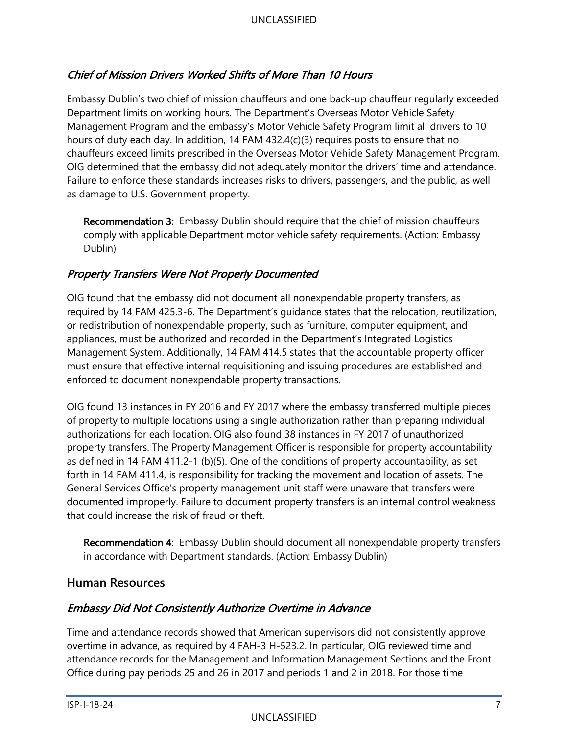# Chief of Mission Drivers Worked Shifts of More Than 10 Hours

Embassy Dublin's two chief of mission chauffeurs and one back-up chauffeur regularly exceeded Department limits on working hours. The Department's Overseas Motor Vehicle Safety Management Program and the embassy's Motor Vehicle Safety Program limit all drivers to 10 hours of duty each day. In addition, 14 FAM 432.4(c)(3) requires posts to ensure that no chauffeurs exceed limits prescribed in the Overseas Motor Vehicle Safety Management Program. OIG determined that the embassy did not adequately monitor the drivers' time and attendance. Failure to enforce these standards increases risks to drivers, passengers, and the public, as well as damage to U.S. Government property.

Recommendation 3: Embassy Dublin should require that the chief of mission chauffeurs comply with applicable Department motor vehicle safety requirements. (Action: Embassy Dublin)

# Property Transfers Were Not Properly Documented

OIG found that the embassy did not document all nonexpendable property transfers, as required by 14 FAM 425.3-6. The Department's guidance states that the relocation, reutilization, or redistribution of nonexpendable property, such as furniture, computer equipment, and appliances, must be authorized and recorded in the Department's Integrated Logistics Management System. Additionally, 14 FAM 414.5 states that the accountable property officer must ensure that effective internal requisitioning and issuing procedures are established and enforced to document nonexpendable property transactions.

OIG found 13 instances in FY 2016 and FY 2017 where the embassy transferred multiple pieces of property to multiple locations using a single authorization rather than preparing individual authorizations for each location. OIG also found 38 instances in FY 2017 of unauthorized property transfers. The Property Management Officer is responsible for property accountability as defined in 14 FAM 411.2-1 (b)(5). One of the conditions of property accountability, as set forth in 14 FAM 411.4, is responsibility for tracking the movement and location of assets. The General Services Office's property management unit staff were unaware that transfers were documented improperly. Failure to document property transfers is an internal control weakness that could increase the risk of fraud or theft.

Recommendation 4: Embassy Dublin should document all nonexpendable property transfers in accordance with Department standards. (Action: Embassy Dublin)

# <span id="page-9-0"></span>**Human Resources**

# Embassy Did Not Consistently Authorize Overtime in Advance

Time and attendance records showed that American supervisors did not consistently approve overtime in advance, as required by 4 FAH-3 H-523.2. In particular, OIG reviewed time and attendance records for the Management and Information Management Sections and the Front Office during pay periods 25 and 26 in 2017 and periods 1 and 2 in 2018. For those time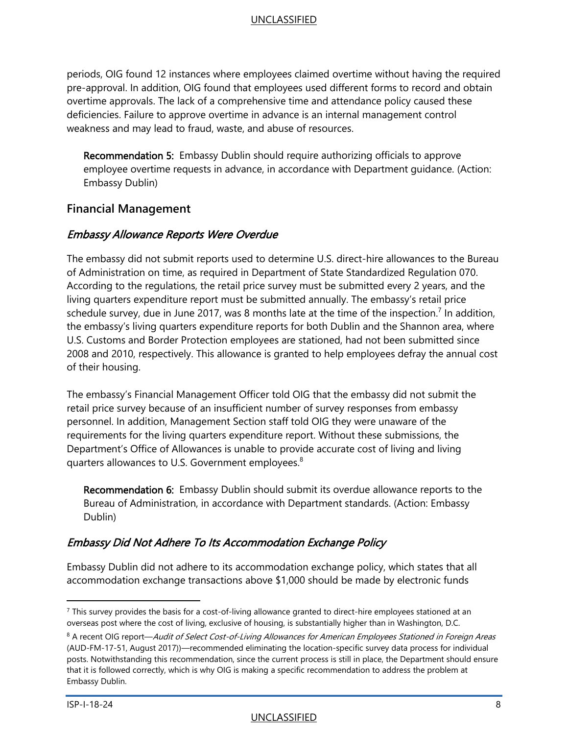periods, OIG found 12 instances where employees claimed overtime without having the required pre-approval. In addition, OIG found that employees used different forms to record and obtain overtime approvals. The lack of a comprehensive time and attendance policy caused these deficiencies. Failure to approve overtime in advance is an internal management control weakness and may lead to fraud, waste, and abuse of resources.

Recommendation 5: Embassy Dublin should require authorizing officials to approve employee overtime requests in advance, in accordance with Department guidance. (Action: Embassy Dublin)

# <span id="page-10-0"></span>**Financial Management**

# Embassy Allowance Reports Were Overdue

The embassy did not submit reports used to determine U.S. direct-hire allowances to the Bureau of Administration on time, as required in Department of State Standardized Regulation 070. According to the regulations, the retail price survey must be submitted every 2 years, and the living quarters expenditure report must be submitted annually. The embassy's retail price schedule survey, due in June 2017, was 8 months late at the time of the inspection.<sup>7</sup> In addition, the embassy's living quarters expenditure reports for both Dublin and the Shannon area, where U.S. Customs and Border Protection employees are stationed, had not been submitted since 2008 and 2010, respectively. This allowance is granted to help employees defray the annual cost of their housing.

The embassy's Financial Management Officer told OIG that the embassy did not submit the retail price survey because of an insufficient number of survey responses from embassy personnel. In addition, Management Section staff told OIG they were unaware of the requirements for the living quarters expenditure report. Without these submissions, the Department's Office of Allowances is unable to provide accurate cost of living and living quarters allowances to U.S. Government employees.<sup>8</sup>

Recommendation 6: Embassy Dublin should submit its overdue allowance reports to the Bureau of Administration, in accordance with Department standards. (Action: Embassy Dublin)

# Embassy Did Not Adhere To Its Accommodation Exchange Policy

Embassy Dublin did not adhere to its accommodation exchange policy, which states that all accommodation exchange transactions above \$1,000 should be made by electronic funds

 $7$  This survey provides the basis for a cost-of-living allowance granted to direct-hire employees stationed at an overseas post where the cost of living, exclusive of housing, is substantially higher than in Washington, D.C.

<sup>&</sup>lt;sup>8</sup> A recent OIG report—Audit of Select Cost-of-Living Allowances for American Employees Stationed in Foreign Areas (AUD-FM-17-51, August 2017))—recommended eliminating the location-specific survey data process for individual posts. Notwithstanding this recommendation, since the current process is still in place, the Department should ensure that it is followed correctly, which is why OIG is making a specific recommendation to address the problem at Embassy Dublin.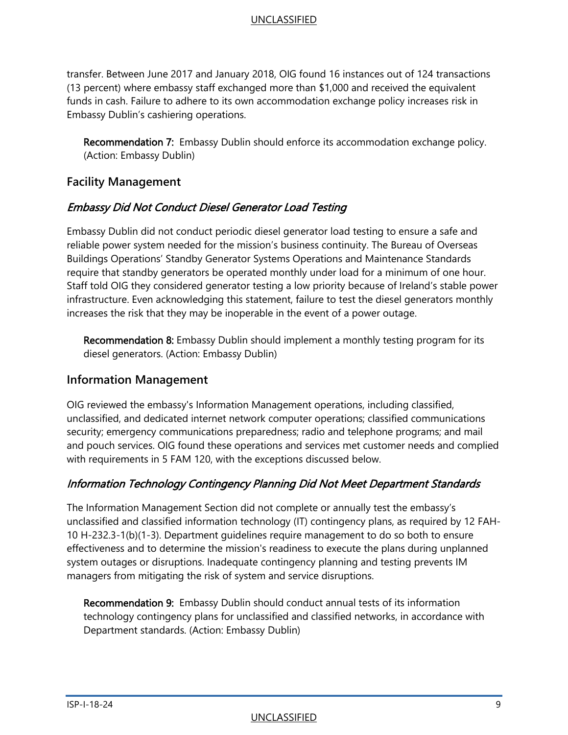transfer. Between June 2017 and January 2018, OIG found 16 instances out of 124 transactions (13 percent) where embassy staff exchanged more than \$1,000 and received the equivalent funds in cash. Failure to adhere to its own accommodation exchange policy increases risk in Embassy Dublin's cashiering operations.

Recommendation 7: Embassy Dublin should enforce its accommodation exchange policy. (Action: Embassy Dublin)

# <span id="page-11-0"></span>**Facility Management**

# Embassy Did Not Conduct Diesel Generator Load Testing

Embassy Dublin did not conduct periodic diesel generator load testing to ensure a safe and reliable power system needed for the mission's business continuity. The Bureau of Overseas Buildings Operations' Standby Generator Systems Operations and Maintenance Standards require that standby generators be operated monthly under load for a minimum of one hour. Staff told OIG they considered generator testing a low priority because of Ireland's stable power infrastructure. Even acknowledging this statement, failure to test the diesel generators monthly increases the risk that they may be inoperable in the event of a power outage.

**Recommendation 8:** Embassy Dublin should implement a monthly testing program for its diesel generators. (Action: Embassy Dublin)

#### <span id="page-11-1"></span>**Information Management**

OIG reviewed the embassy's Information Management operations, including classified, unclassified, and dedicated internet network computer operations; classified communications security; emergency communications preparedness; radio and telephone programs; and mail and pouch services. OIG found these operations and services met customer needs and complied with requirements in 5 FAM 120, with the exceptions discussed below.

# Information Technology Contingency Planning Did Not Meet Department Standards

The Information Management Section did not complete or annually test the embassy's unclassified and classified information technology (IT) contingency plans, as required by 12 FAH-10 H-232.3-1(b)(1-3). Department guidelines require management to do so both to ensure effectiveness and to determine the mission's readiness to execute the plans during unplanned system outages or disruptions. Inadequate contingency planning and testing prevents IM managers from mitigating the risk of system and service disruptions.

Recommendation 9: Embassy Dublin should conduct annual tests of its information technology contingency plans for unclassified and classified networks, in accordance with Department standards. (Action: Embassy Dublin)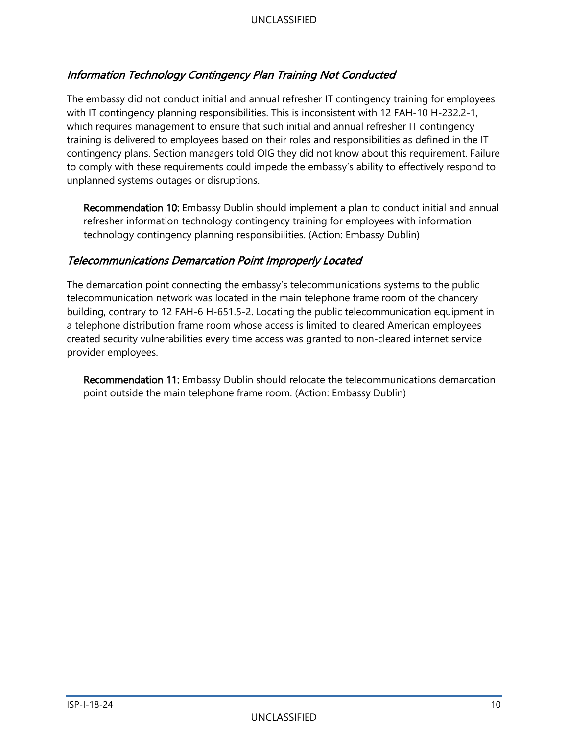# Information Technology Contingency Plan Training Not Conducted

The embassy did not conduct initial and annual refresher IT contingency training for employees with IT contingency planning responsibilities. This is inconsistent with 12 FAH-10 H-232.2-1, which requires management to ensure that such initial and annual refresher IT contingency training is delivered to employees based on their roles and responsibilities as defined in the IT contingency plans. Section managers told OIG they did not know about this requirement. Failure to comply with these requirements could impede the embassy's ability to effectively respond to unplanned systems outages or disruptions.

Recommendation 10: Embassy Dublin should implement a plan to conduct initial and annual refresher information technology contingency training for employees with information technology contingency planning responsibilities. (Action: Embassy Dublin)

### Telecommunications Demarcation Point Improperly Located

The demarcation point connecting the embassy's telecommunications systems to the public telecommunication network was located in the main telephone frame room of the chancery building, contrary to 12 FAH-6 H-651.5-2. Locating the public telecommunication equipment in a telephone distribution frame room whose access is limited to cleared American employees created security vulnerabilities every time access was granted to non-cleared internet service provider employees.

Recommendation 11: Embassy Dublin should relocate the telecommunications demarcation point outside the main telephone frame room. (Action: Embassy Dublin)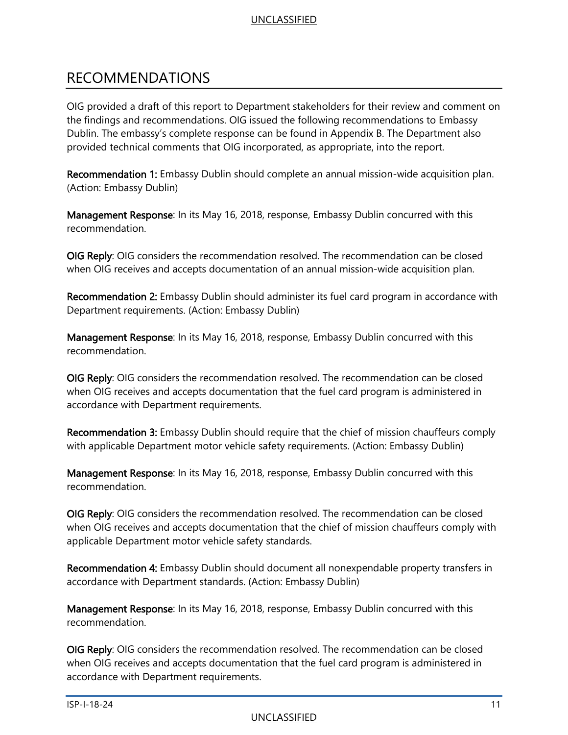# <span id="page-13-0"></span>RECOMMENDATIONS

OIG provided a draft of this report to Department stakeholders for their review and comment on the findings and recommendations. OIG issued the following recommendations to Embassy Dublin. The embassy's complete response can be found in Appendix B. The Department also provided technical comments that OIG incorporated, as appropriate, into the report.

Recommendation 1: Embassy Dublin should complete an annual mission-wide acquisition plan. (Action: Embassy Dublin)

Management Response: In its May 16, 2018, response, Embassy Dublin concurred with this recommendation.

OIG Reply: OIG considers the recommendation resolved. The recommendation can be closed when OIG receives and accepts documentation of an annual mission-wide acquisition plan.

Recommendation 2: Embassy Dublin should administer its fuel card program in accordance with Department requirements. (Action: Embassy Dublin)

Management Response: In its May 16, 2018, response, Embassy Dublin concurred with this recommendation.

OIG Reply: OIG considers the recommendation resolved. The recommendation can be closed when OIG receives and accepts documentation that the fuel card program is administered in accordance with Department requirements.

Recommendation 3: Embassy Dublin should require that the chief of mission chauffeurs comply with applicable Department motor vehicle safety requirements. (Action: Embassy Dublin)

Management Response: In its May 16, 2018, response, Embassy Dublin concurred with this recommendation.

OIG Reply: OIG considers the recommendation resolved. The recommendation can be closed when OIG receives and accepts documentation that the chief of mission chauffeurs comply with applicable Department motor vehicle safety standards.

Recommendation 4: Embassy Dublin should document all nonexpendable property transfers in accordance with Department standards. (Action: Embassy Dublin)

Management Response: In its May 16, 2018, response, Embassy Dublin concurred with this recommendation.

OIG Reply: OIG considers the recommendation resolved. The recommendation can be closed when OIG receives and accepts documentation that the fuel card program is administered in accordance with Department requirements.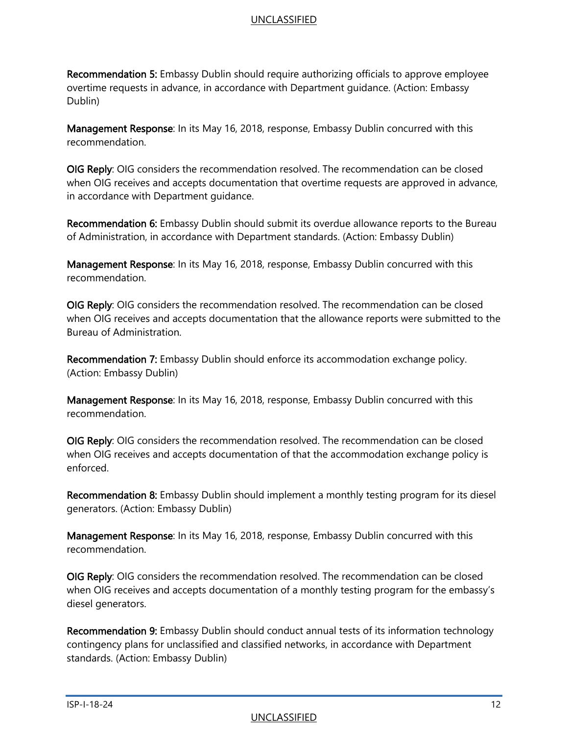Recommendation 5: Embassy Dublin should require authorizing officials to approve employee overtime requests in advance, in accordance with Department guidance. (Action: Embassy Dublin)

Management Response: In its May 16, 2018, response, Embassy Dublin concurred with this recommendation.

OIG Reply: OIG considers the recommendation resolved. The recommendation can be closed when OIG receives and accepts documentation that overtime requests are approved in advance, in accordance with Department guidance.

Recommendation 6: Embassy Dublin should submit its overdue allowance reports to the Bureau of Administration, in accordance with Department standards. (Action: Embassy Dublin)

Management Response: In its May 16, 2018, response, Embassy Dublin concurred with this recommendation.

OIG Reply: OIG considers the recommendation resolved. The recommendation can be closed when OIG receives and accepts documentation that the allowance reports were submitted to the Bureau of Administration.

Recommendation 7: Embassy Dublin should enforce its accommodation exchange policy. (Action: Embassy Dublin)

Management Response: In its May 16, 2018, response, Embassy Dublin concurred with this recommendation.

OIG Reply: OIG considers the recommendation resolved. The recommendation can be closed when OIG receives and accepts documentation of that the accommodation exchange policy is enforced.

Recommendation 8: Embassy Dublin should implement a monthly testing program for its diesel generators. (Action: Embassy Dublin)

Management Response: In its May 16, 2018, response, Embassy Dublin concurred with this recommendation.

OIG Reply: OIG considers the recommendation resolved. The recommendation can be closed when OIG receives and accepts documentation of a monthly testing program for the embassy's diesel generators.

Recommendation 9: Embassy Dublin should conduct annual tests of its information technology contingency plans for unclassified and classified networks, in accordance with Department standards. (Action: Embassy Dublin)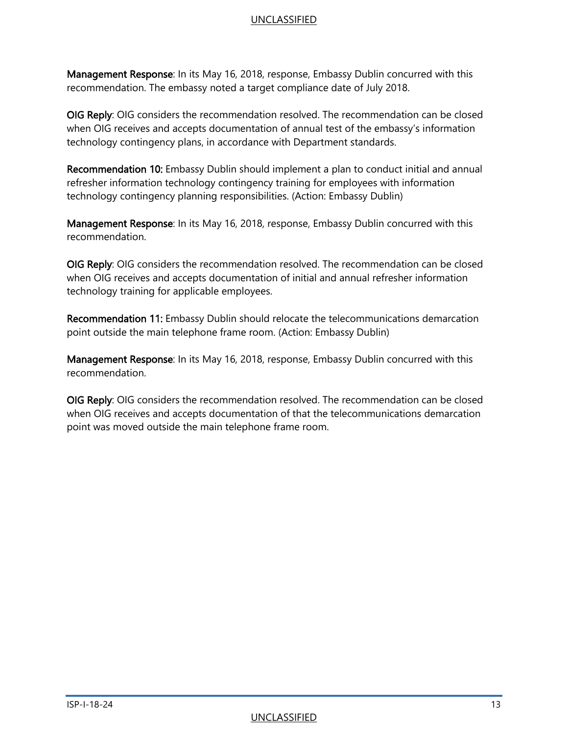Management Response: In its May 16, 2018, response, Embassy Dublin concurred with this recommendation. The embassy noted a target compliance date of July 2018.

OIG Reply: OIG considers the recommendation resolved. The recommendation can be closed when OIG receives and accepts documentation of annual test of the embassy's information technology contingency plans, in accordance with Department standards.

Recommendation 10: Embassy Dublin should implement a plan to conduct initial and annual refresher information technology contingency training for employees with information technology contingency planning responsibilities. (Action: Embassy Dublin)

Management Response: In its May 16, 2018, response, Embassy Dublin concurred with this recommendation.

OIG Reply: OIG considers the recommendation resolved. The recommendation can be closed when OIG receives and accepts documentation of initial and annual refresher information technology training for applicable employees.

Recommendation 11: Embassy Dublin should relocate the telecommunications demarcation point outside the main telephone frame room. (Action: Embassy Dublin)

Management Response: In its May 16, 2018, response, Embassy Dublin concurred with this recommendation.

<span id="page-15-0"></span>OIG Reply: OIG considers the recommendation resolved. The recommendation can be closed when OIG receives and accepts documentation of that the telecommunications demarcation point was moved outside the main telephone frame room.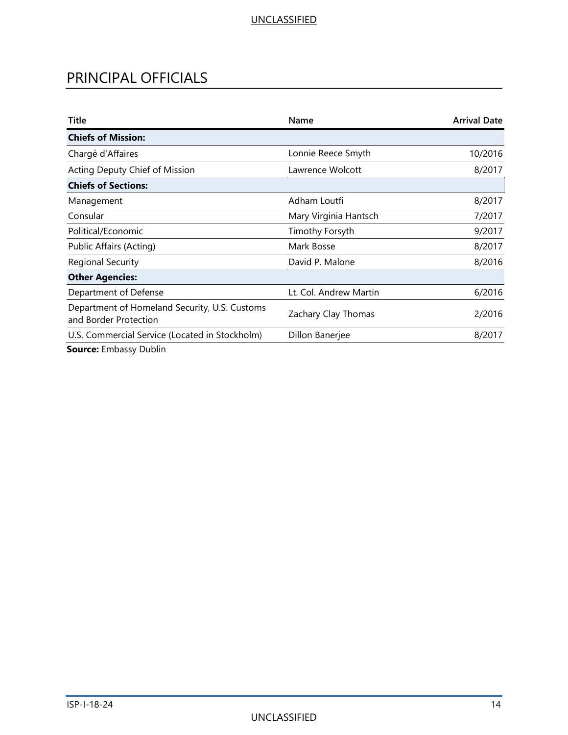# PRINCIPAL OFFICIALS

| Title                                                                  | Name                   | <b>Arrival Date</b> |
|------------------------------------------------------------------------|------------------------|---------------------|
| <b>Chiefs of Mission:</b>                                              |                        |                     |
| Chargé d'Affaires                                                      | Lonnie Reece Smyth     | 10/2016             |
| Acting Deputy Chief of Mission                                         | Lawrence Wolcott       | 8/2017              |
| <b>Chiefs of Sections:</b>                                             |                        |                     |
| Management                                                             | Adham Loutfi           | 8/2017              |
| Consular                                                               | Mary Virginia Hantsch  | 7/2017              |
| Political/Economic                                                     | Timothy Forsyth        | 9/2017              |
| Public Affairs (Acting)                                                | Mark Bosse             | 8/2017              |
| <b>Regional Security</b>                                               | David P. Malone        | 8/2016              |
| <b>Other Agencies:</b>                                                 |                        |                     |
| Department of Defense                                                  | Lt. Col. Andrew Martin | 6/2016              |
| Department of Homeland Security, U.S. Customs<br>and Border Protection | Zachary Clay Thomas    | 2/2016              |
| U.S. Commercial Service (Located in Stockholm)                         | Dillon Banerjee        | 8/2017              |
| 6 - - - - - - - Frederic - - - Dudelin                                 |                        |                     |

**Source:** Embassy Dublin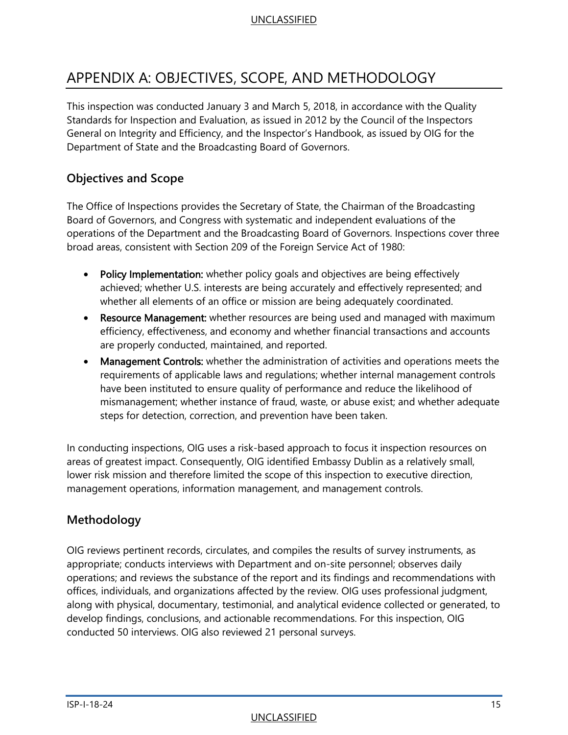# <span id="page-17-0"></span>APPENDIX A: OBJECTIVES, SCOPE, AND METHODOLOGY

This inspection was conducted January 3 and March 5, 2018, in accordance with the Quality Standards for Inspection and Evaluation, as issued in 2012 by the Council of the Inspectors General on Integrity and Efficiency, and the Inspector's Handbook, as issued by OIG for the Department of State and the Broadcasting Board of Governors.

# **Objectives and Scope**

The Office of Inspections provides the Secretary of State, the Chairman of the Broadcasting Board of Governors, and Congress with systematic and independent evaluations of the operations of the Department and the Broadcasting Board of Governors. Inspections cover three broad areas, consistent with Section 209 of the Foreign Service Act of 1980:

- Policy Implementation: whether policy goals and objectives are being effectively achieved; whether U.S. interests are being accurately and effectively represented; and whether all elements of an office or mission are being adequately coordinated.
- Resource Management: whether resources are being used and managed with maximum efficiency, effectiveness, and economy and whether financial transactions and accounts are properly conducted, maintained, and reported.
- Management Controls: whether the administration of activities and operations meets the requirements of applicable laws and regulations; whether internal management controls have been instituted to ensure quality of performance and reduce the likelihood of mismanagement; whether instance of fraud, waste, or abuse exist; and whether adequate steps for detection, correction, and prevention have been taken.

In conducting inspections, OIG uses a risk-based approach to focus it inspection resources on areas of greatest impact. Consequently, OIG identified Embassy Dublin as a relatively small, lower risk mission and therefore limited the scope of this inspection to executive direction, management operations, information management, and management controls.

# **Methodology**

OIG reviews pertinent records, circulates, and compiles the results of survey instruments, as appropriate; conducts interviews with Department and on-site personnel; observes daily operations; and reviews the substance of the report and its findings and recommendations with offices, individuals, and organizations affected by the review. OIG uses professional judgment, along with physical, documentary, testimonial, and analytical evidence collected or generated, to develop findings, conclusions, and actionable recommendations. For this inspection, OIG conducted 50 interviews. OIG also reviewed 21 personal surveys.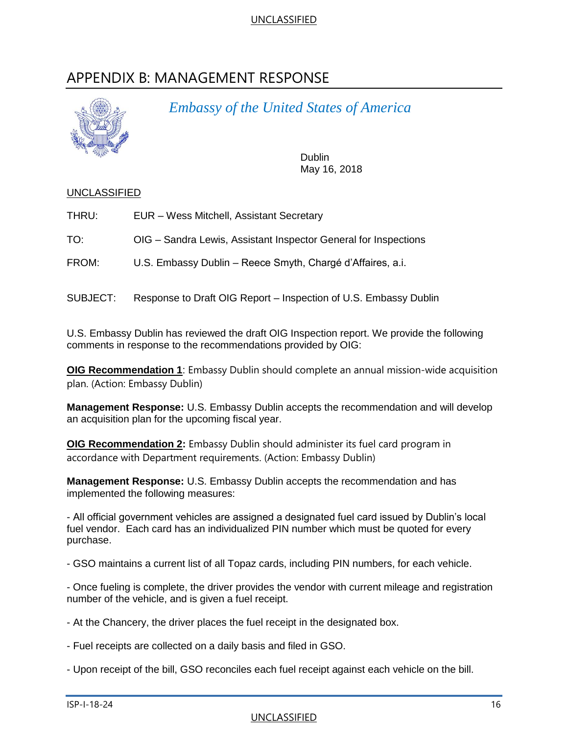# <span id="page-18-0"></span>APPENDIX B: MANAGEMENT RESPONSE



*Embassy of the United States of America*

Dublin May 16, 2018

#### UNCLASSIFIED

| THRU: |  |  | EUR - Wess Mitchell, Assistant Secretary |
|-------|--|--|------------------------------------------|
|       |  |  |                                          |

TO: OIG – Sandra Lewis, Assistant Inspector General for Inspections

FROM: U.S. Embassy Dublin – Reece Smyth, Chargé d'Affaires, a.i.

SUBJECT: Response to Draft OIG Report – Inspection of U.S. Embassy Dublin

U.S. Embassy Dublin has reviewed the draft OIG Inspection report. We provide the following comments in response to the recommendations provided by OIG:

**OIG Recommendation 1**: Embassy Dublin should complete an annual mission-wide acquisition plan. (Action: Embassy Dublin)

**Management Response:** U.S. Embassy Dublin accepts the recommendation and will develop an acquisition plan for the upcoming fiscal year.

**OIG Recommendation 2:** Embassy Dublin should administer its fuel card program in accordance with Department requirements. (Action: Embassy Dublin)

**Management Response:** U.S. Embassy Dublin accepts the recommendation and has implemented the following measures:

- All official government vehicles are assigned a designated fuel card issued by Dublin's local fuel vendor. Each card has an individualized PIN number which must be quoted for every purchase.

- GSO maintains a current list of all Topaz cards, including PIN numbers, for each vehicle.

- Once fueling is complete, the driver provides the vendor with current mileage and registration number of the vehicle, and is given a fuel receipt.

- At the Chancery, the driver places the fuel receipt in the designated box.

- Fuel receipts are collected on a daily basis and filed in GSO.

- Upon receipt of the bill, GSO reconciles each fuel receipt against each vehicle on the bill.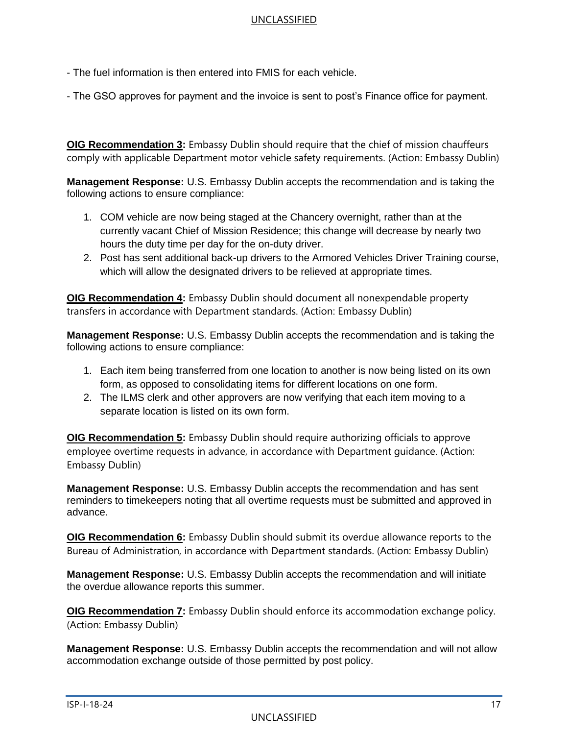- The fuel information is then entered into FMIS for each vehicle.

- The GSO approves for payment and the invoice is sent to post's Finance office for payment.

**OIG Recommendation 3:** Embassy Dublin should require that the chief of mission chauffeurs comply with applicable Department motor vehicle safety requirements. (Action: Embassy Dublin)

**Management Response:** U.S. Embassy Dublin accepts the recommendation and is taking the following actions to ensure compliance:

- 1. COM vehicle are now being staged at the Chancery overnight, rather than at the currently vacant Chief of Mission Residence; this change will decrease by nearly two hours the duty time per day for the on-duty driver.
- 2. Post has sent additional back-up drivers to the Armored Vehicles Driver Training course, which will allow the designated drivers to be relieved at appropriate times.

**OIG Recommendation 4:** Embassy Dublin should document all nonexpendable property transfers in accordance with Department standards. (Action: Embassy Dublin)

**Management Response:** U.S. Embassy Dublin accepts the recommendation and is taking the following actions to ensure compliance:

- 1. Each item being transferred from one location to another is now being listed on its own form, as opposed to consolidating items for different locations on one form.
- 2. The ILMS clerk and other approvers are now verifying that each item moving to a separate location is listed on its own form.

**OIG Recommendation 5:** Embassy Dublin should require authorizing officials to approve employee overtime requests in advance, in accordance with Department guidance. (Action: Embassy Dublin)

**Management Response:** U.S. Embassy Dublin accepts the recommendation and has sent reminders to timekeepers noting that all overtime requests must be submitted and approved in advance.

**OIG Recommendation 6:** Embassy Dublin should submit its overdue allowance reports to the Bureau of Administration, in accordance with Department standards. (Action: Embassy Dublin)

**Management Response:** U.S. Embassy Dublin accepts the recommendation and will initiate the overdue allowance reports this summer.

**OIG Recommendation 7:** Embassy Dublin should enforce its accommodation exchange policy. (Action: Embassy Dublin)

**Management Response:** U.S. Embassy Dublin accepts the recommendation and will not allow accommodation exchange outside of those permitted by post policy.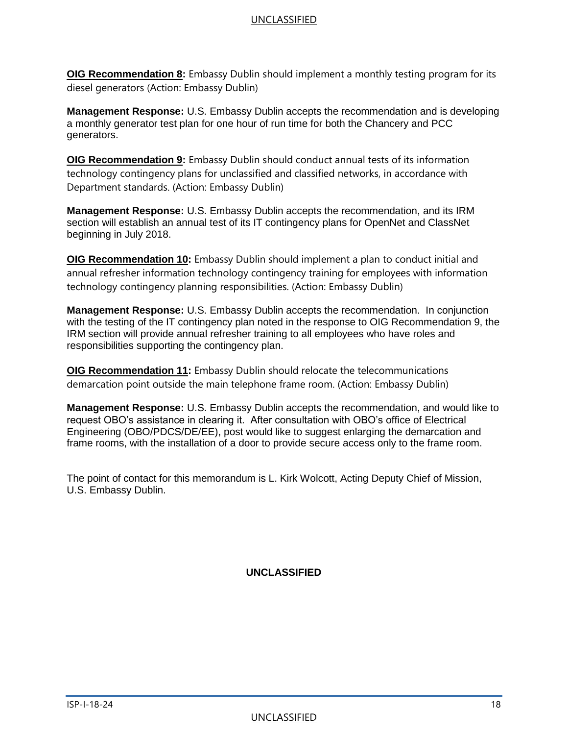**OIG Recommendation 8:** Embassy Dublin should implement a monthly testing program for its diesel generators (Action: Embassy Dublin)

**Management Response:** U.S. Embassy Dublin accepts the recommendation and is developing a monthly generator test plan for one hour of run time for both the Chancery and PCC generators.

**OIG Recommendation 9:** Embassy Dublin should conduct annual tests of its information technology contingency plans for unclassified and classified networks, in accordance with Department standards. (Action: Embassy Dublin)

**Management Response:** U.S. Embassy Dublin accepts the recommendation, and its IRM section will establish an annual test of its IT contingency plans for OpenNet and ClassNet beginning in July 2018.

**OIG Recommendation 10:** Embassy Dublin should implement a plan to conduct initial and annual refresher information technology contingency training for employees with information technology contingency planning responsibilities. (Action: Embassy Dublin)

**Management Response:** U.S. Embassy Dublin accepts the recommendation. In conjunction with the testing of the IT contingency plan noted in the response to OIG Recommendation 9, the IRM section will provide annual refresher training to all employees who have roles and responsibilities supporting the contingency plan.

**OIG Recommendation 11:** Embassy Dublin should relocate the telecommunications demarcation point outside the main telephone frame room. (Action: Embassy Dublin)

**Management Response:** U.S. Embassy Dublin accepts the recommendation, and would like to request OBO's assistance in clearing it. After consultation with OBO's office of Electrical Engineering (OBO/PDCS/DE/EE), post would like to suggest enlarging the demarcation and frame rooms, with the installation of a door to provide secure access only to the frame room.

The point of contact for this memorandum is L. Kirk Wolcott, Acting Deputy Chief of Mission, U.S. Embassy Dublin.

**UNCLASSIFIED**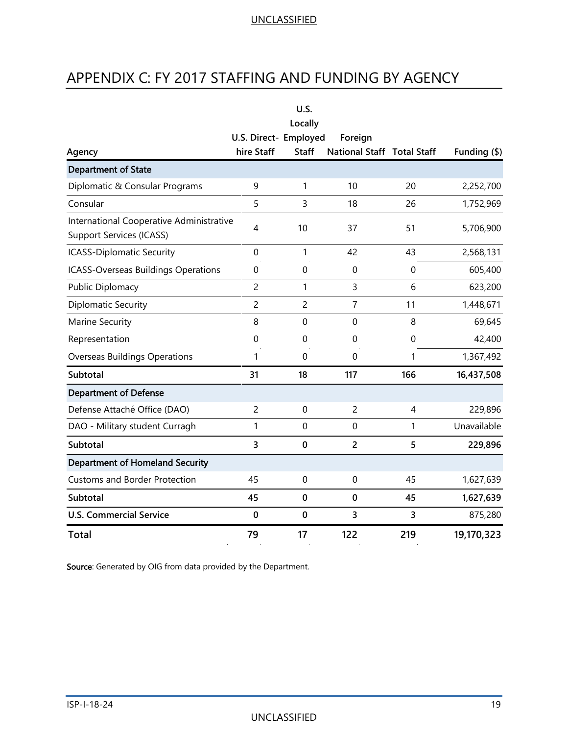# <span id="page-21-0"></span>APPENDIX C: FY 2017 STAFFING AND FUNDING BY AGENCY

|                                                                             |                       | U.S.           |                            |                  |                   |
|-----------------------------------------------------------------------------|-----------------------|----------------|----------------------------|------------------|-------------------|
|                                                                             |                       | Locally        |                            |                  |                   |
|                                                                             | U.S. Direct- Employed |                | Foreign                    |                  |                   |
| Agency                                                                      | hire Staff            | <b>Staff</b>   | National Staff Total Staff |                  | Funding $($ math) |
| <b>Department of State</b>                                                  |                       |                |                            |                  |                   |
| Diplomatic & Consular Programs                                              | 9                     | 1              | 10                         | 20               | 2,252,700         |
| Consular                                                                    | 5                     | 3              | 18                         | 26               | 1,752,969         |
| International Cooperative Administrative<br><b>Support Services (ICASS)</b> | 4                     | 10             | 37                         | 51               | 5,706,900         |
| <b>ICASS-Diplomatic Security</b>                                            | $\mathbf 0$           | 1              | 42                         | 43               | 2,568,131         |
| ICASS-Overseas Buildings Operations                                         | 0                     | $\mathbf 0$    | $\boldsymbol{0}$           | $\boldsymbol{0}$ | 605,400           |
| Public Diplomacy                                                            | $\overline{c}$        | 1              | 3                          | 6                | 623,200           |
| Diplomatic Security                                                         | $\overline{c}$        | $\overline{c}$ | 7                          | 11               | 1,448,671         |
| Marine Security                                                             | 8                     | $\mathbf 0$    | $\mathbf 0$                | 8                | 69,645            |
| Representation                                                              | $\mathbf 0$           | $\mathbf 0$    | $\mathbf 0$                | $\mathbf 0$      | 42,400            |
| <b>Overseas Buildings Operations</b>                                        | 1                     | $\mathbf 0$    | $\mathbf 0$                | 1                | 1,367,492         |
| Subtotal                                                                    | 31                    | 18             | 117                        | 166              | 16,437,508        |
| <b>Department of Defense</b>                                                |                       |                |                            |                  |                   |
| Defense Attaché Office (DAO)                                                | $\overline{c}$        | 0              | $\overline{c}$             | 4                | 229,896           |
| DAO - Military student Curragh                                              | 1                     | $\mathbf 0$    | $\mathbf 0$                | 1                | Unavailable       |
| Subtotal                                                                    | 3                     | $\bf{0}$       | $\overline{2}$             | 5                | 229,896           |
| <b>Department of Homeland Security</b>                                      |                       |                |                            |                  |                   |
| <b>Customs and Border Protection</b>                                        | 45                    | $\mathbf 0$    | $\mathbf 0$                | 45               | 1,627,639         |
| Subtotal                                                                    | 45                    | $\bf{0}$       | $\bf{0}$                   | 45               | 1,627,639         |
| <b>U.S. Commercial Service</b>                                              | $\bf{0}$              | $\bf{0}$       | 3                          | 3                | 875,280           |
| <b>Total</b>                                                                | 79                    | 17             | 122                        | 219              | 19,170,323        |

Source: Generated by OIG from data provided by the Department.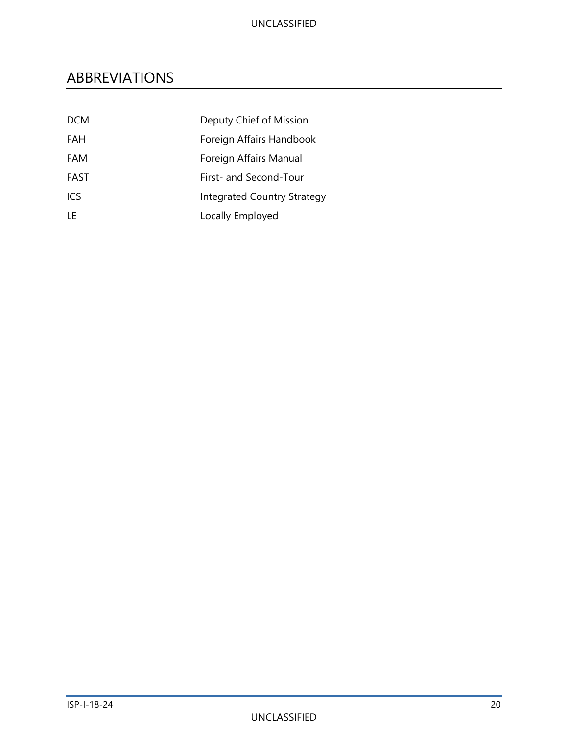# <span id="page-22-0"></span>ABBREVIATIONS

| <b>DCM</b> | Deputy Chief of Mission            |
|------------|------------------------------------|
| FAH        | Foreign Affairs Handbook           |
| FAM        | Foreign Affairs Manual             |
| FAST       | First- and Second-Tour             |
| <b>ICS</b> | <b>Integrated Country Strategy</b> |
| I F        | Locally Employed                   |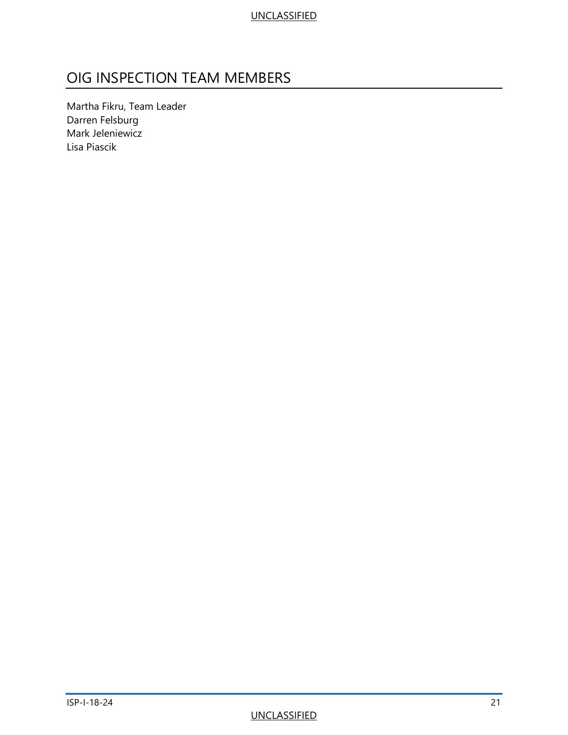# <span id="page-23-0"></span>OIG INSPECTION TEAM MEMBERS

Martha Fikru, Team Leader Darren Felsburg Mark Jeleniewicz Lisa Piascik